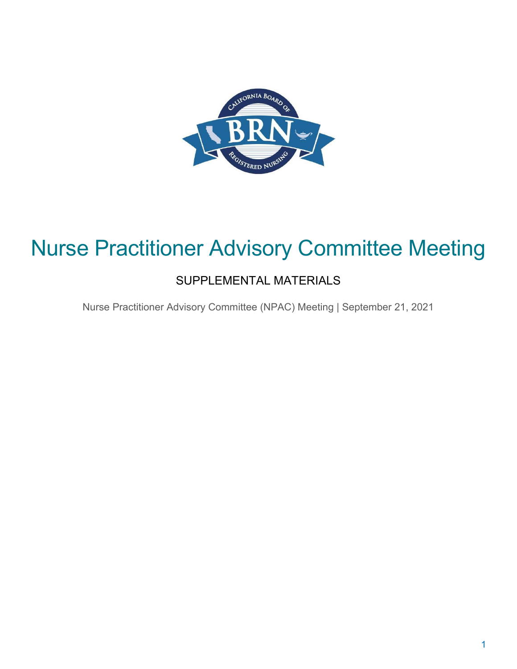

## Nurse Practitioner Advisory Committee Meeting

### SUPPLEMENTAL MATERIALS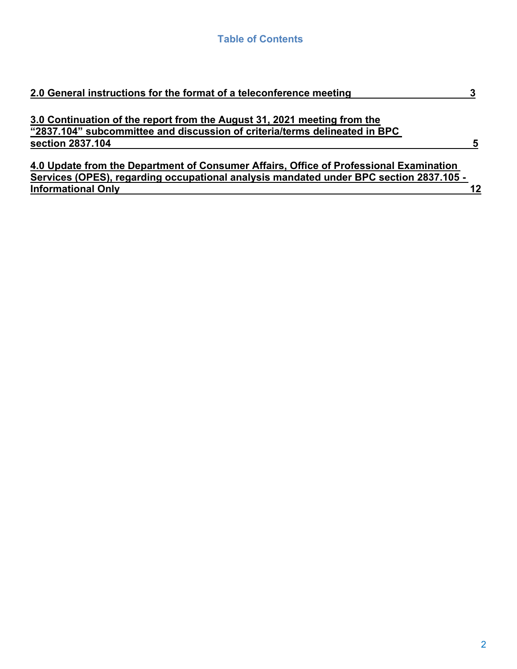| Services (OPES), regarding occupational analysis mandated under BPC section 2837.105 - |
|----------------------------------------------------------------------------------------|
| 12                                                                                     |
|                                                                                        |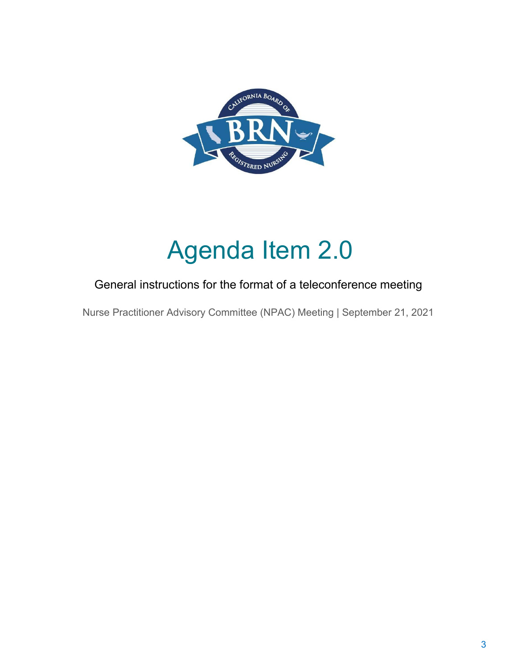

# Agenda Item 2.0

### General instructions for the format of a teleconference meeting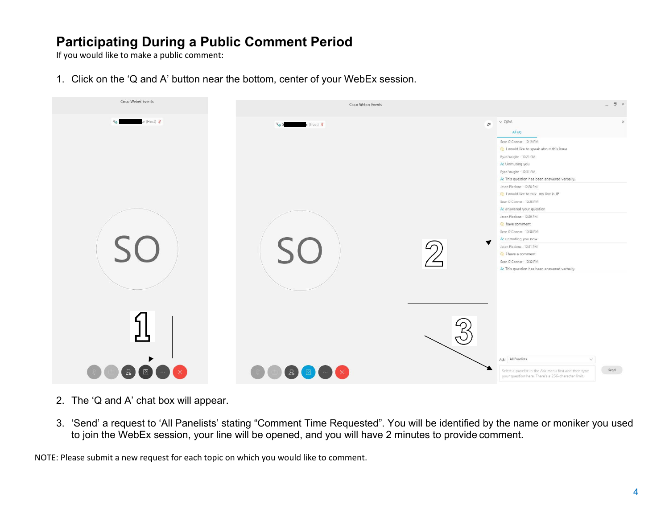### **Participating During a Public Comment Period**

If you would like to make a public comment:

1. Click on the 'Q and A' button near the bottom, center of your WebEx session.



- 2. The 'Q and A' chat box will appear.
- 3. 'Send' a request to 'All Panelists' stating "Comment Time Requested". You will be identified by the name or moniker you used to join the WebEx session, your line will be opened, and you will have 2 minutes to provide comment.

NOTE: Please submit a new request for each topic on which you would like to comment.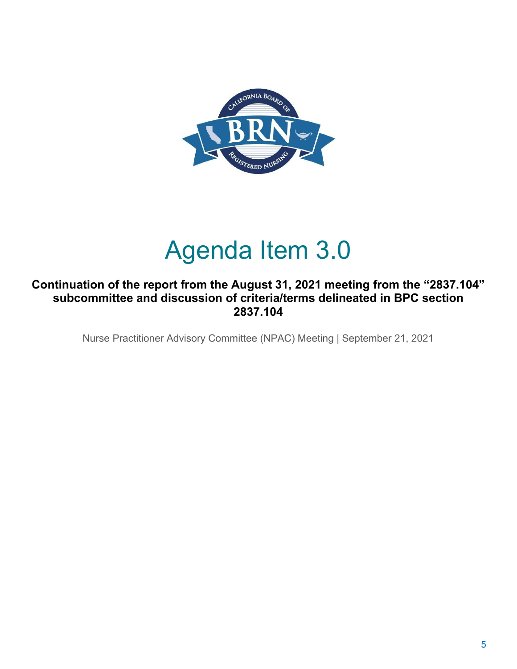

## Agenda Item 3.0

#### **Continuation of the report from the August 31, 2021 meeting from the "2837.104" subcommittee and discussion of criteria/terms delineated in BPC section 2837.104**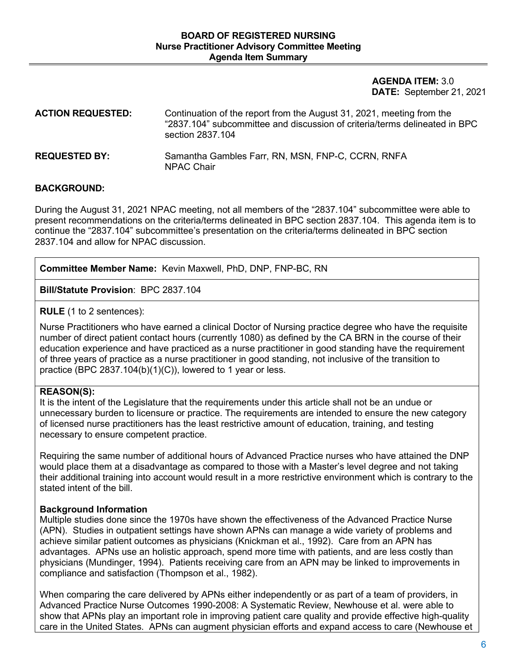**AGENDA ITEM:** 3.0 **DATE:** September 21, 2021

| <b>ACTION REQUESTED:</b> | Continuation of the report from the August 31, 2021, meeting from the<br>"2837.104" subcommittee and discussion of criteria/terms delineated in BPC<br>section 2837.104 |
|--------------------------|-------------------------------------------------------------------------------------------------------------------------------------------------------------------------|
| <b>REQUESTED BY:</b>     | Samantha Gambles Farr, RN, MSN, FNP-C, CCRN, RNFA<br>NPAC Chair                                                                                                         |

#### **BACKGROUND:**

During the August 31, 2021 NPAC meeting, not all members of the "2837.104" subcommittee were able to present recommendations on the criteria/terms delineated in BPC section 2837.104. This agenda item is to continue the "2837.104" subcommittee's presentation on the criteria/terms delineated in BPC section 2837.104 and allow for NPAC discussion.

**Committee Member Name:** Kevin Maxwell, PhD, DNP, FNP-BC, RN

**Bill/Statute Provision**: BPC 2837.104

**RULE** (1 to 2 sentences):

Nurse Practitioners who have earned a clinical Doctor of Nursing practice degree who have the requisite number of direct patient contact hours (currently 1080) as defined by the CA BRN in the course of their education experience and have practiced as a nurse practitioner in good standing have the requirement of three years of practice as a nurse practitioner in good standing, not inclusive of the transition to practice (BPC 2837.104(b)(1)(C)), lowered to 1 year or less.

#### **REASON(S):**

It is the intent of the Legislature that the requirements under this article shall not be an undue or unnecessary burden to licensure or practice. The requirements are intended to ensure the new category of licensed nurse practitioners has the least restrictive amount of education, training, and testing necessary to ensure competent practice.

Requiring the same number of additional hours of Advanced Practice nurses who have attained the DNP would place them at a disadvantage as compared to those with a Master's level degree and not taking their additional training into account would result in a more restrictive environment which is contrary to the stated intent of the bill.

#### **Background Information**

Multiple studies done since the 1970s have shown the effectiveness of the Advanced Practice Nurse (APN). Studies in outpatient settings have shown APNs can manage a wide variety of problems and achieve similar patient outcomes as physicians (Knickman et al., 1992). Care from an APN has advantages. APNs use an holistic approach, spend more time with patients, and are less costly than physicians (Mundinger, 1994). Patients receiving care from an APN may be linked to improvements in compliance and satisfaction (Thompson et al., 1982).

When comparing the care delivered by APNs either independently or as part of a team of providers, in Advanced Practice Nurse Outcomes 1990-2008: A Systematic Review, Newhouse et al. were able to show that APNs play an important role in improving patient care quality and provide effective high-quality care in the United States. APNs can augment physician efforts and expand access to care (Newhouse et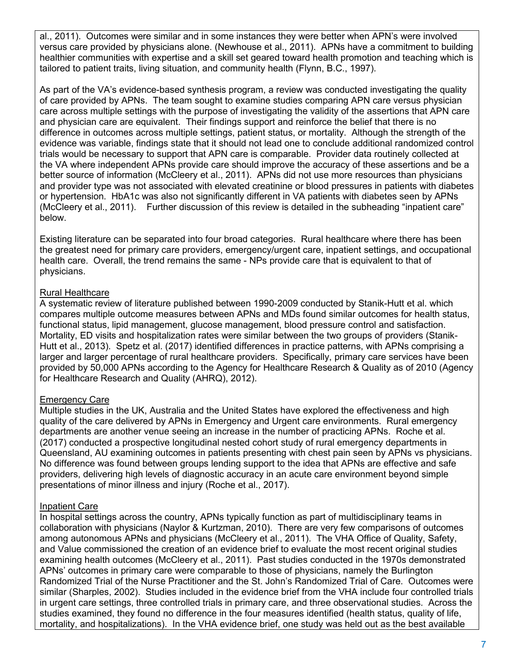al., 2011). Outcomes were similar and in some instances they were better when APN's were involved versus care provided by physicians alone. (Newhouse et al., 2011). APNs have a commitment to building healthier communities with expertise and a skill set geared toward health promotion and teaching which is tailored to patient traits, living situation, and community health (Flynn, B.C., 1997).

As part of the VA's evidence-based synthesis program, a review was conducted investigating the quality of care provided by APNs. The team sought to examine studies comparing APN care versus physician care across multiple settings with the purpose of investigating the validity of the assertions that APN care and physician care are equivalent. Their findings support and reinforce the belief that there is no difference in outcomes across multiple settings, patient status, or mortality. Although the strength of the evidence was variable, findings state that it should not lead one to conclude additional randomized control trials would be necessary to support that APN care is comparable. Provider data routinely collected at the VA where independent APNs provide care should improve the accuracy of these assertions and be a better source of information (McCleery et al., 2011). APNs did not use more resources than physicians and provider type was not associated with elevated creatinine or blood pressures in patients with diabetes or hypertension. HbA1c was also not significantly different in VA patients with diabetes seen by APNs (McCleery et al., 2011). Further discussion of this review is detailed in the subheading "inpatient care" below.

Existing literature can be separated into four broad categories. Rural healthcare where there has been the greatest need for primary care providers, emergency/urgent care, inpatient settings, and occupational health care. Overall, the trend remains the same - NPs provide care that is equivalent to that of physicians.

#### Rural Healthcare

A systematic review of literature published between 1990-2009 conducted by Stanik-Hutt et al. which compares multiple outcome measures between APNs and MDs found similar outcomes for health status, functional status, lipid management, glucose management, blood pressure control and satisfaction. Mortality, ED visits and hospitalization rates were similar between the two groups of providers (Stanik-Hutt et al., 2013). Spetz et al. (2017) identified differences in practice patterns, with APNs comprising a larger and larger percentage of rural healthcare providers. Specifically, primary care services have been provided by 50,000 APNs according to the Agency for Healthcare Research & Quality as of 2010 (Agency for Healthcare Research and Quality (AHRQ), 2012).

#### Emergency Care

Multiple studies in the UK, Australia and the United States have explored the effectiveness and high quality of the care delivered by APNs in Emergency and Urgent care environments. Rural emergency departments are another venue seeing an increase in the number of practicing APNs. Roche et al. (2017) conducted a prospective longitudinal nested cohort study of rural emergency departments in Queensland, AU examining outcomes in patients presenting with chest pain seen by APNs vs physicians. No difference was found between groups lending support to the idea that APNs are effective and safe providers, delivering high levels of diagnostic accuracy in an acute care environment beyond simple presentations of minor illness and injury (Roche et al., 2017).

#### Inpatient Care

In hospital settings across the country, APNs typically function as part of multidisciplinary teams in collaboration with physicians (Naylor & Kurtzman, 2010). There are very few comparisons of outcomes among autonomous APNs and physicians (McCleery et al., 2011). The VHA Office of Quality, Safety, and Value commissioned the creation of an evidence brief to evaluate the most recent original studies examining health outcomes (McCleery et al., 2011). Past studies conducted in the 1970s demonstrated APNs' outcomes in primary care were comparable to those of physicians, namely the Burlington Randomized Trial of the Nurse Practitioner and the St. John's Randomized Trial of Care. Outcomes were similar (Sharples, 2002). Studies included in the evidence brief from the VHA include four controlled trials in urgent care settings, three controlled trials in primary care, and three observational studies. Across the studies examined, they found no difference in the four measures identified (health status, quality of life, mortality, and hospitalizations). In the VHA evidence brief, one study was held out as the best available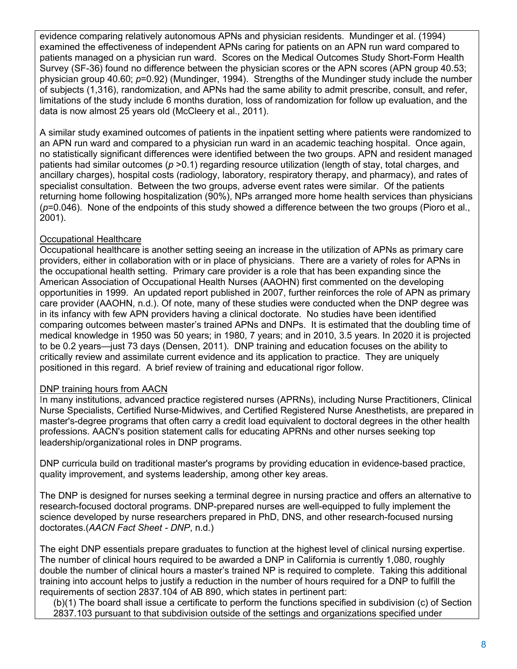evidence comparing relatively autonomous APNs and physician residents. Mundinger et al. (1994) examined the effectiveness of independent APNs caring for patients on an APN run ward compared to patients managed on a physician run ward. Scores on the Medical Outcomes Study Short-Form Health Survey (SF-36) found no difference between the physician scores or the APN scores (APN group 40.53; physician group 40.60; *p*=0.92) (Mundinger, 1994). Strengths of the Mundinger study include the number of subjects (1,316), randomization, and APNs had the same ability to admit prescribe, consult, and refer, limitations of the study include 6 months duration, loss of randomization for follow up evaluation, and the data is now almost 25 years old (McCleery et al., 2011).

A similar study examined outcomes of patients in the inpatient setting where patients were randomized to an APN run ward and compared to a physician run ward in an academic teaching hospital. Once again, no statistically significant differences were identified between the two groups. APN and resident managed patients had similar outcomes (*p* >0.1) regarding resource utilization (length of stay, total charges, and ancillary charges), hospital costs (radiology, laboratory, respiratory therapy, and pharmacy), and rates of specialist consultation. Between the two groups, adverse event rates were similar. Of the patients returning home following hospitalization (90%), NPs arranged more home health services than physicians (*p*=0.046). None of the endpoints of this study showed a difference between the two groups (Pioro et al., 2001).

#### Occupational Healthcare

Occupational healthcare is another setting seeing an increase in the utilization of APNs as primary care providers, either in collaboration with or in place of physicians. There are a variety of roles for APNs in the occupational health setting. Primary care provider is a role that has been expanding since the American Association of Occupational Health Nurses (AAOHN) first commented on the developing opportunities in 1999. An updated report published in 2007, further reinforces the role of APN as primary care provider (AAOHN, n.d.). Of note, many of these studies were conducted when the DNP degree was in its infancy with few APN providers having a clinical doctorate. No studies have been identified comparing outcomes between master's trained APNs and DNPs. It is estimated that the doubling time of medical knowledge in 1950 was 50 years; in 1980, 7 years; and in 2010, 3.5 years. In 2020 it is projected to be 0.2 years—just 73 days (Densen, 2011). DNP training and education focuses on the ability to critically review and assimilate current evidence and its application to practice. They are uniquely positioned in this regard. A brief review of training and educational rigor follow.

#### DNP training hours from AACN

In many institutions, advanced practice registered nurses (APRNs), including Nurse Practitioners, Clinical Nurse Specialists, Certified Nurse-Midwives, and Certified Registered Nurse Anesthetists, are prepared in master's-degree programs that often carry a credit load equivalent to doctoral degrees in the other health professions. AACN's position statement calls for educating APRNs and other nurses seeking top leadership/organizational roles in DNP programs.

DNP curricula build on traditional master's programs by providing education in evidence-based practice, quality improvement, and systems leadership, among other key areas.

The DNP is designed for nurses seeking a terminal degree in nursing practice and offers an alternative to research-focused doctoral programs. DNP-prepared nurses are well-equipped to fully implement the science developed by nurse researchers prepared in PhD, DNS, and other research-focused nursing doctorates.(*AACN Fact Sheet - DNP*, n.d.)

The eight DNP essentials prepare graduates to function at the highest level of clinical nursing expertise. The number of clinical hours required to be awarded a DNP in California is currently 1,080, roughly double the number of clinical hours a master's trained NP is required to complete. Taking this additional training into account helps to justify a reduction in the number of hours required for a DNP to fulfill the requirements of section 2837.104 of AB 890, which states in pertinent part:

(b)(1) The board shall issue a certificate to perform the functions specified in subdivision (c) of Section 2837.103 pursuant to that subdivision outside of the settings and organizations specified under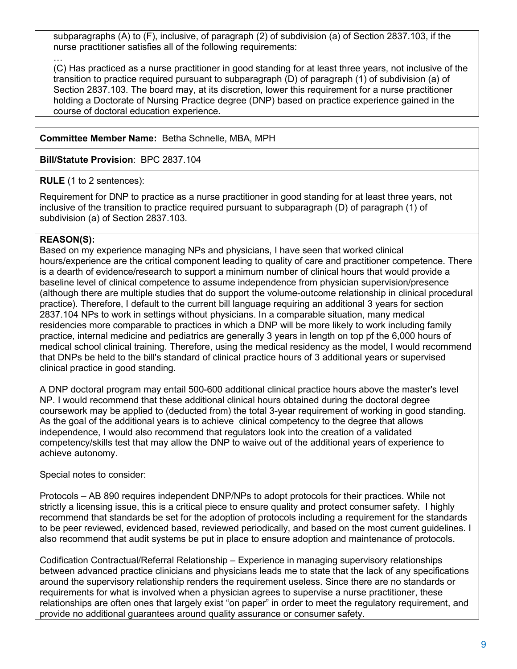subparagraphs (A) to (F), inclusive, of paragraph (2) of subdivision (a) of Section 2837.103, if the nurse practitioner satisfies all of the following requirements:

(C) Has practiced as a nurse practitioner in good standing for at least three years, not inclusive of the transition to practice required pursuant to subparagraph (D) of paragraph (1) of subdivision (a) of Section 2837.103. The board may, at its discretion, lower this requirement for a nurse practitioner holding a Doctorate of Nursing Practice degree (DNP) based on practice experience gained in the course of doctoral education experience.

#### **Committee Member Name:** Betha Schnelle, MBA, MPH

**Bill/Statute Provision**: BPC 2837.104

**RULE** (1 to 2 sentences):

Requirement for DNP to practice as a nurse practitioner in good standing for at least three years, not inclusive of the transition to practice required pursuant to subparagraph (D) of paragraph (1) of subdivision (a) of Section 2837.103.

#### **REASON(S):**

…

Based on my experience managing NPs and physicians, I have seen that worked clinical hours/experience are the critical component leading to quality of care and practitioner competence. There is a dearth of evidence/research to support a minimum number of clinical hours that would provide a baseline level of clinical competence to assume independence from physician supervision/presence (although there are multiple studies that do support the volume-outcome relationship in clinical procedural practice). Therefore, I default to the current bill language requiring an additional 3 years for section 2837.104 NPs to work in settings without physicians. In a comparable situation, many medical residencies more comparable to practices in which a DNP will be more likely to work including family practice, internal medicine and pediatrics are generally 3 years in length on top pf the 6,000 hours of medical school clinical training. Therefore, using the medical residency as the model, I would recommend that DNPs be held to the bill's standard of clinical practice hours of 3 additional years or supervised clinical practice in good standing.

A DNP doctoral program may entail 500-600 additional clinical practice hours above the master's level NP. I would recommend that these additional clinical hours obtained during the doctoral degree coursework may be applied to (deducted from) the total 3-year requirement of working in good standing. As the goal of the additional years is to achieve clinical competency to the degree that allows independence, I would also recommend that regulators look into the creation of a validated competency/skills test that may allow the DNP to waive out of the additional years of experience to achieve autonomy.

Special notes to consider:

Protocols – AB 890 requires independent DNP/NPs to adopt protocols for their practices. While not strictly a licensing issue, this is a critical piece to ensure quality and protect consumer safety. I highly recommend that standards be set for the adoption of protocols including a requirement for the standards to be peer reviewed, evidenced based, reviewed periodically, and based on the most current guidelines. I also recommend that audit systems be put in place to ensure adoption and maintenance of protocols.

Codification Contractual/Referral Relationship – Experience in managing supervisory relationships between advanced practice clinicians and physicians leads me to state that the lack of any specifications around the supervisory relationship renders the requirement useless. Since there are no standards or requirements for what is involved when a physician agrees to supervise a nurse practitioner, these relationships are often ones that largely exist "on paper" in order to meet the regulatory requirement, and provide no additional guarantees around quality assurance or consumer safety.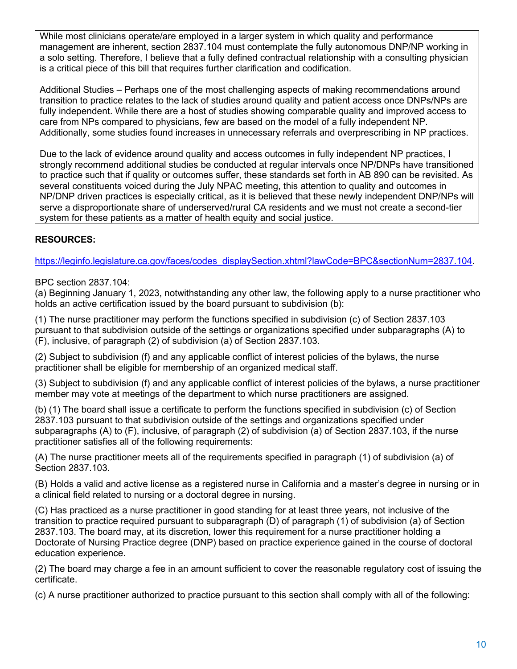While most clinicians operate/are employed in a larger system in which quality and performance management are inherent, section 2837.104 must contemplate the fully autonomous DNP/NP working in a solo setting. Therefore, I believe that a fully defined contractual relationship with a consulting physician is a critical piece of this bill that requires further clarification and codification.

Additional Studies – Perhaps one of the most challenging aspects of making recommendations around transition to practice relates to the lack of studies around quality and patient access once DNPs/NPs are fully independent. While there are a host of studies showing comparable quality and improved access to care from NPs compared to physicians, few are based on the model of a fully independent NP. Additionally, some studies found increases in unnecessary referrals and overprescribing in NP practices.

Due to the lack of evidence around quality and access outcomes in fully independent NP practices, I strongly recommend additional studies be conducted at regular intervals once NP/DNPs have transitioned to practice such that if quality or outcomes suffer, these standards set forth in AB 890 can be revisited. As several constituents voiced during the July NPAC meeting, this attention to quality and outcomes in NP/DNP driven practices is especially critical, as it is believed that these newly independent DNP/NPs will serve a disproportionate share of underserved/rural CA residents and we must not create a second-tier system for these patients as a matter of health equity and social justice.

#### **RESOURCES:**

[https://leginfo.legislature.ca.gov/faces/codes\\_displaySection.xhtml?lawCode=BPC&sectionNum=2837.104.](https://leginfo.legislature.ca.gov/faces/codes_displaySection.xhtml?lawCode=BPC§ionNum=2837.104)

BPC section 2837.104:

(a) Beginning January 1, 2023, notwithstanding any other law, the following apply to a nurse practitioner who holds an active certification issued by the board pursuant to subdivision (b):

(1) The nurse practitioner may perform the functions specified in subdivision (c) of Section 2837.103 pursuant to that subdivision outside of the settings or organizations specified under subparagraphs (A) to (F), inclusive, of paragraph (2) of subdivision (a) of Section 2837.103.

(2) Subject to subdivision (f) and any applicable conflict of interest policies of the bylaws, the nurse practitioner shall be eligible for membership of an organized medical staff.

(3) Subject to subdivision (f) and any applicable conflict of interest policies of the bylaws, a nurse practitioner member may vote at meetings of the department to which nurse practitioners are assigned.

(b) (1) The board shall issue a certificate to perform the functions specified in subdivision (c) of Section 2837.103 pursuant to that subdivision outside of the settings and organizations specified under subparagraphs (A) to (F), inclusive, of paragraph (2) of subdivision (a) of Section 2837.103, if the nurse practitioner satisfies all of the following requirements:

(A) The nurse practitioner meets all of the requirements specified in paragraph (1) of subdivision (a) of Section 2837.103.

(B) Holds a valid and active license as a registered nurse in California and a master's degree in nursing or in a clinical field related to nursing or a doctoral degree in nursing.

(C) Has practiced as a nurse practitioner in good standing for at least three years, not inclusive of the transition to practice required pursuant to subparagraph (D) of paragraph (1) of subdivision (a) of Section 2837.103. The board may, at its discretion, lower this requirement for a nurse practitioner holding a Doctorate of Nursing Practice degree (DNP) based on practice experience gained in the course of doctoral education experience.

(2) The board may charge a fee in an amount sufficient to cover the reasonable regulatory cost of issuing the certificate.

(c) A nurse practitioner authorized to practice pursuant to this section shall comply with all of the following: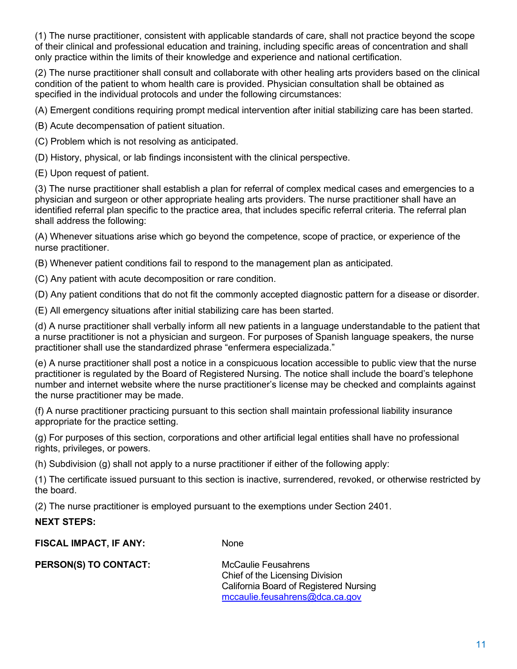(1) The nurse practitioner, consistent with applicable standards of care, shall not practice beyond the scope of their clinical and professional education and training, including specific areas of concentration and shall only practice within the limits of their knowledge and experience and national certification.

(2) The nurse practitioner shall consult and collaborate with other healing arts providers based on the clinical condition of the patient to whom health care is provided. Physician consultation shall be obtained as specified in the individual protocols and under the following circumstances:

(A) Emergent conditions requiring prompt medical intervention after initial stabilizing care has been started.

(B) Acute decompensation of patient situation.

(C) Problem which is not resolving as anticipated.

(D) History, physical, or lab findings inconsistent with the clinical perspective.

(E) Upon request of patient.

(3) The nurse practitioner shall establish a plan for referral of complex medical cases and emergencies to a physician and surgeon or other appropriate healing arts providers. The nurse practitioner shall have an identified referral plan specific to the practice area, that includes specific referral criteria. The referral plan shall address the following:

(A) Whenever situations arise which go beyond the competence, scope of practice, or experience of the nurse practitioner.

(B) Whenever patient conditions fail to respond to the management plan as anticipated.

(C) Any patient with acute decomposition or rare condition.

(D) Any patient conditions that do not fit the commonly accepted diagnostic pattern for a disease or disorder.

(E) All emergency situations after initial stabilizing care has been started.

(d) A nurse practitioner shall verbally inform all new patients in a language understandable to the patient that a nurse practitioner is not a physician and surgeon. For purposes of Spanish language speakers, the nurse practitioner shall use the standardized phrase "enfermera especializada."

(e) A nurse practitioner shall post a notice in a conspicuous location accessible to public view that the nurse practitioner is regulated by the Board of Registered Nursing. The notice shall include the board's telephone number and internet website where the nurse practitioner's license may be checked and complaints against the nurse practitioner may be made.

(f) A nurse practitioner practicing pursuant to this section shall maintain professional liability insurance appropriate for the practice setting.

(g) For purposes of this section, corporations and other artificial legal entities shall have no professional rights, privileges, or powers.

(h) Subdivision (g) shall not apply to a nurse practitioner if either of the following apply:

(1) The certificate issued pursuant to this section is inactive, surrendered, revoked, or otherwise restricted by the board.

(2) The nurse practitioner is employed pursuant to the exemptions under Section 2401.

#### **NEXT STEPS:**

**FISCAL IMPACT, IF ANY:** None

**PERSON(S) TO CONTACT:** McCaulie Feusahrens

Chief of the Licensing Division California Board of Registered Nursing [mccaulie.feusahrens@dca.ca.gov](mailto:mccaulie.feusahrens@dca.ca.gov)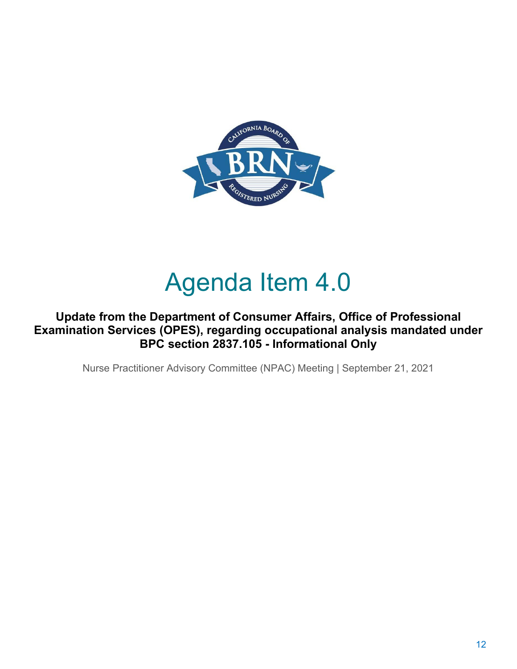

## Agenda Item 4.0

#### **Update from the Department of Consumer Affairs, Office of Professional Examination Services (OPES), regarding occupational analysis mandated under BPC section 2837.105 - Informational Only**